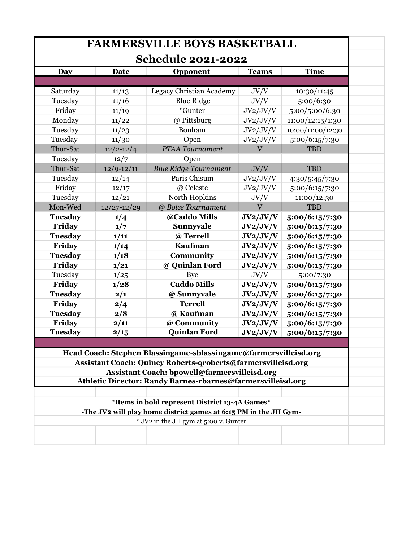| <b>FARMERSVILLE BOYS BASKETBALL</b><br><b>Schedule 2021-2022</b> |                 |                                                                                                                                                                                  |                |                   |  |  |
|------------------------------------------------------------------|-----------------|----------------------------------------------------------------------------------------------------------------------------------------------------------------------------------|----------------|-------------------|--|--|
|                                                                  |                 |                                                                                                                                                                                  |                |                   |  |  |
|                                                                  |                 |                                                                                                                                                                                  |                |                   |  |  |
| Saturday                                                         | 11/13           | Legacy Christian Academy                                                                                                                                                         | JV/V           | 10:30/11:45       |  |  |
| Tuesday                                                          | 11/16           | <b>Blue Ridge</b>                                                                                                                                                                | JV/V           | 5:00/6:30         |  |  |
| Friday                                                           | 11/19           | *Gunter                                                                                                                                                                          | JV2/JV/V       | 5:00/5:00/6:30    |  |  |
| Monday                                                           | 11/22           | @ Pittsburg                                                                                                                                                                      | JV2/JV/V       | 11:00/12:15/1:30  |  |  |
| Tuesday                                                          | 11/23           | Bonham                                                                                                                                                                           | JV2/JV/V       | 10:00/11:00/12:30 |  |  |
| Tuesday                                                          | 11/30           | Open                                                                                                                                                                             | JV2/JV/V       | 5:00/6:15/7:30    |  |  |
| Thur-Sat                                                         | $12/2 - 12/4$   | PTAA Tournament                                                                                                                                                                  | $\overline{V}$ | <b>TBD</b>        |  |  |
| Tuesday                                                          | 12/7            | Open                                                                                                                                                                             |                |                   |  |  |
| Thur-Sat                                                         | $12/9 - 12/11$  | <b>Blue Ridge Tournament</b>                                                                                                                                                     | JV/V           | <b>TBD</b>        |  |  |
| Tuesday                                                          | 12/14           | Paris Chisum                                                                                                                                                                     | JV2/JV/V       | 4:30/5:45/7:30    |  |  |
| Friday                                                           | 12/17           | @ Celeste                                                                                                                                                                        | JV2/JV/V       | 5:00/6:15/7:30    |  |  |
| Tuesday                                                          | 12/21           | North Hopkins                                                                                                                                                                    | JV/V           | 11:00/12:30       |  |  |
| Mon-Wed                                                          | $12/27 - 12/29$ | @ Boles Tournament                                                                                                                                                               | $\overline{V}$ | <b>TBD</b>        |  |  |
| <b>Tuesday</b>                                                   | 1/4             | @Caddo Mills                                                                                                                                                                     | JV2/JV/V       | 5:00/6:15/7:30    |  |  |
| Friday                                                           | 1/7             | Sunnyvale                                                                                                                                                                        | JV2/JV/V       | 5:00/6:15/7:30    |  |  |
| <b>Tuesday</b>                                                   | 1/11            | @ Terrell                                                                                                                                                                        | JV2/JV/V       | 5:00/6:15/7:30    |  |  |
| Friday                                                           | 1/14            | <b>Kaufman</b>                                                                                                                                                                   | JV2/JV/V       | 5:00/6:15/7:30    |  |  |
| <b>Tuesday</b>                                                   | 1/18            | Community                                                                                                                                                                        | JV2/JV/V       | 5:00/6:15/7:30    |  |  |
| Friday                                                           | 1/21            | @ Quinlan Ford                                                                                                                                                                   | JV2/JV/V       | 5:00/6:15/7:30    |  |  |
| Tuesday                                                          | 1/25            | <b>Bye</b>                                                                                                                                                                       | JV/V           | 5:00/7:30         |  |  |
| Friday                                                           | 1/28            | <b>Caddo Mills</b>                                                                                                                                                               | JV2/JV/V       | 5:00/6:15/7:30    |  |  |
| <b>Tuesday</b>                                                   |                 |                                                                                                                                                                                  |                |                   |  |  |
|                                                                  | 2/1             | @ Sunnyvale                                                                                                                                                                      | JV2/JV/V       | 5:00/6:15/7:30    |  |  |
| Friday                                                           | 2/4             | <b>Terrell</b>                                                                                                                                                                   | JV2/JV/V       | 5:00/6:15/7:30    |  |  |
| <b>Tuesday</b>                                                   | 2/8             | @ Kaufman                                                                                                                                                                        | JV2/JV/V       | 5:00/6:15/7:30    |  |  |
| Friday                                                           | 2/11            | @ Community                                                                                                                                                                      | JV2/JV/V       | 5:00/6:15/7:30    |  |  |
|                                                                  | 2/15            | <b>Quinlan Ford</b>                                                                                                                                                              | JV2/JV/V       | 5:00/6:15/7:30    |  |  |
| <b>Tuesday</b>                                                   |                 | Head Coach: Stephen Blassingame-sblassingame@farmersvilleisd.org<br>Assistant Coach: Quincy Roberts-qroberts@farmersvilleisd.org<br>Assistant Coach: bpowell@farmersvilleisd.org |                |                   |  |  |
|                                                                  |                 | Athletic Director: Randy Barnes-rbarnes@farmersvilleisd.org                                                                                                                      |                |                   |  |  |
|                                                                  |                 |                                                                                                                                                                                  |                |                   |  |  |
|                                                                  |                 | *Items in bold represent District 13-4A Games*                                                                                                                                   |                |                   |  |  |
|                                                                  |                 | -The JV2 will play home district games at 6:15 PM in the JH Gym-                                                                                                                 |                |                   |  |  |
|                                                                  |                 | * JV2 in the JH gym at 5:00 v. Gunter                                                                                                                                            |                |                   |  |  |